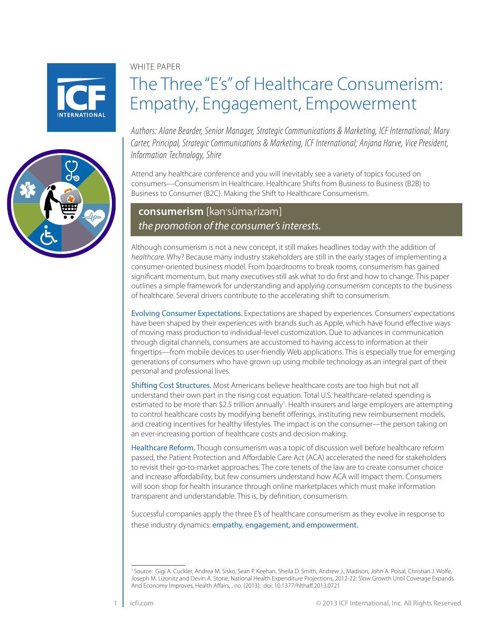



#### WHITE PAPER

# The Three "E's" of Healthcare Consumerism: Empathy, Engagement, Empowerment

*Authors: Alane Bearder, Senior Manager, Strategic Communications & Marketing, ICF International; Mary Carter, Principal, Strategic Communications & Marketing, ICF International; Anjana Harve, Vice President, Information Technology, Shire*

Attend any healthcare conference and you will inevitably see a variety of topics focused on consumers—Consumerism in Healthcare. Healthcare Shifts from Business to Business (B2B) to Business to Consumer (B2C). Making the Shift to Healthcare Consumerism.

# **consumerism** [kan'süma,rizam] *the promotion of the consumer's interests.*

Although consumerism is not a new concept, it still makes headlines today with the addition of *healthcare*. Why? Because many industry stakeholders are still in the early stages of implementing a consumer-oriented business model. From boardrooms to break rooms, consumerism has gained significant momentum, but many executives still ask what to do first and how to change. This paper outlines a simple framework for understanding and applying consumerism concepts to the business of healthcare. Several drivers contribute to the accelerating shift to consumerism.

Evolving Consumer Expectations. Expectations are shaped by experiences. Consumers' expectations have been shaped by their experiences with brands such as Apple, which have found effective ways of moving mass production to individual-level customization. Due to advances in communication through digital channels, consumers are accustomed to having access to information at their fingertips—from mobile devices to user-friendly Web applications. This is especially true for emerging generations of consumers who have grown up using mobile technology as an integral part of their personal and professional lives.

Shifting Cost Structures. Most Americans believe healthcare costs are too high but not all understand their own part in the rising cost equation. Total U.S. healthcare-related spending is estimated to be more than \$2.5 trillion annually<sup>1</sup>. Health insurers and large employers are attempting to control healthcare costs by modifying benefit offerings, instituting new reimbursement models, and creating incentives for healthy lifestyles. The impact is on the consumer—the person taking on an ever-increasing portion of healthcare costs and decision making.

Healthcare Reform. Though consumerism was a topic of discussion well before healthcare reform passed, the Patient Protection and Affordable Care Act (ACA) accelerated the need for stakeholders to revisit their go-to-market approaches. The core tenets of the law are to create consumer choice and increase affordability, but few consumers understand how ACA will impact them. Consumers will soon shop for health insurance through online marketplaces which must make information transparent and understandable. This is, by definition, consumerism.

Successful companies apply the three E's of healthcare consumerism as they evolve in response to these industry dynamics: empathy, engagement, and empowerment.

<sup>&</sup>lt;sup>1</sup> Source: Gigi A. Cuckler, Andrea M. Sisko, Sean P. Keehan, Sheila D. Smith, Andrew J., Madison, John A. Poisal, Christian J. Wolfe, Joseph M. Lizonitz and Devin A. Stone, National Health Expenditure Projections, 2012-22: Slow Growth Until Coverage Expands And Economy Improves, Health Affairs, , no. (2013): doi: 10.1377/hlthaff.2013.0721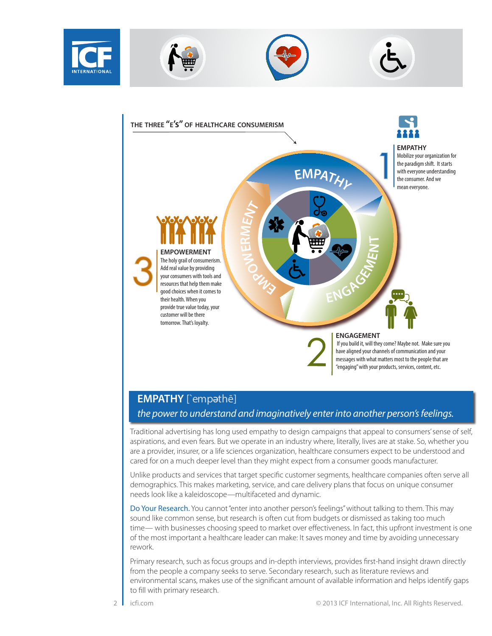



#### **ENGAGEMENT**

 If you build it, will they come? Maybe not. Make sure you have aligned your channels of communication and your messages with what matters most to the people that are "engaging" with your products, services, content, etc.

# **EMPATHY** [`empathē]

### *the power to understand and imaginatively enter into another person's feelings.*

Traditional advertising has long used empathy to design campaigns that appeal to consumers' sense of self, aspirations, and even fears. But we operate in an industry where, literally, lives are at stake. So, whether you are a provider, insurer, or a life sciences organization, healthcare consumers expect to be understood and cared for on a much deeper level than they might expect from a consumer goods manufacturer.

Unlike products and services that target specific customer segments, healthcare companies often serve all demographics. This makes marketing, service, and care delivery plans that focus on unique consumer needs look like a kaleidoscope—multifaceted and dynamic.

Do Your Research. You cannot "enter into another person's feelings" without talking to them. This may sound like common sense, but research is often cut from budgets or dismissed as taking too much time— with businesses choosing speed to market over effectiveness. In fact, this upfront investment is one of the most important a healthcare leader can make: It saves money and time by avoiding unnecessary rework.

Primary research, such as focus groups and in-depth interviews, provides first-hand insight drawn directly from the people a company seeks to serve. Secondary research, such as literature reviews and environmental scans, makes use of the significant amount of available information and helps identify gaps to fill with primary research.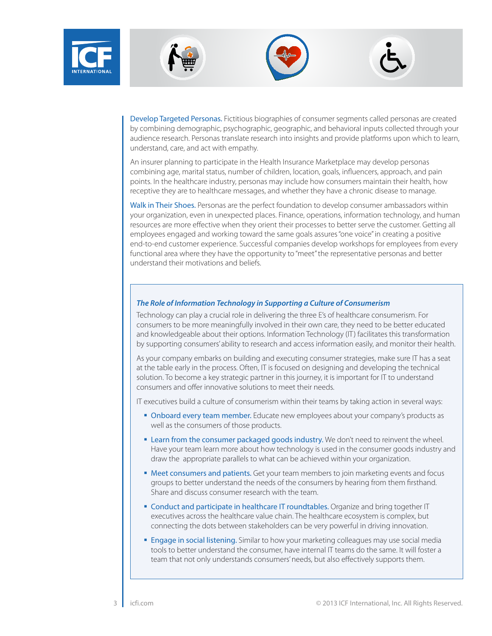







Develop Targeted Personas. Fictitious biographies of consumer segments called personas are created by combining demographic, psychographic, geographic, and behavioral inputs collected through your audience research. Personas translate research into insights and provide platforms upon which to learn, understand, care, and act with empathy.

An insurer planning to participate in the Health Insurance Marketplace may develop personas combining age, marital status, number of children, location, goals, influencers, approach, and pain points. In the healthcare industry, personas may include how consumers maintain their health, how receptive they are to healthcare messages, and whether they have a chronic disease to manage.

Walk in Their Shoes. Personas are the perfect foundation to develop consumer ambassadors within your organization, even in unexpected places. Finance, operations, information technology, and human resources are more effective when they orient their processes to better serve the customer. Getting all employees engaged and working toward the same goals assures "one voice" in creating a positive end-to-end customer experience. Successful companies develop workshops for employees from every functional area where they have the opportunity to "meet" the representative personas and better understand their motivations and beliefs.

#### *The Role of Information Technology in Supporting a Culture of Consumerism*

Technology can play a crucial role in delivering the three E's of healthcare consumerism. For consumers to be more meaningfully involved in their own care, they need to be better educated and knowledgeable about their options. Information Technology (IT) facilitates this transformation by supporting consumers' ability to research and access information easily, and monitor their health.

As your company embarks on building and executing consumer strategies, make sure IT has a seat at the table early in the process. Often, IT is focused on designing and developing the technical solution. To become a key strategic partner in this journey, it is important for IT to understand consumers and offer innovative solutions to meet their needs.

IT executives build a culture of consumerism within their teams by taking action in several ways:

- **Onboard every team member.** Educate new employees about your company's products as well as the consumers of those products.
- **Exam from the consumer packaged goods industry.** We don't need to reinvent the wheel. Have your team learn more about how technology is used in the consumer goods industry and draw the appropriate parallels to what can be achieved within your organization.
- **Meet consumers and patients.** Get your team members to join marketing events and focus groups to better understand the needs of the consumers by hearing from them firsthand. Share and discuss consumer research with the team.
- **Conduct and participate in healthcare IT roundtables.** Organize and bring together IT executives across the healthcare value chain. The healthcare ecosystem is complex, but connecting the dots between stakeholders can be very powerful in driving innovation.
- **Engage in social listening.** Similar to how your marketing colleagues may use social media tools to better understand the consumer, have internal IT teams do the same. It will foster a team that not only understands consumers' needs, but also effectively supports them.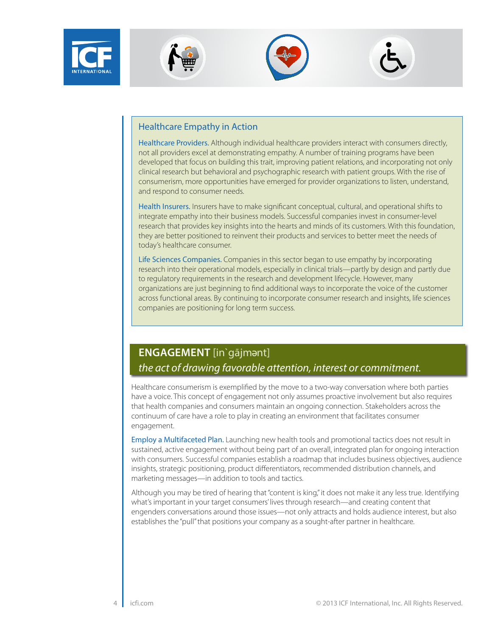







#### Healthcare Empathy in Action

Healthcare Providers. Although individual healthcare providers interact with consumers directly, not all providers excel at demonstrating empathy. A number of training programs have been developed that focus on building this trait, improving patient relations, and incorporating not only clinical research but behavioral and psychographic research with patient groups. With the rise of consumerism, more opportunities have emerged for provider organizations to listen, understand, and respond to consumer needs.

Health Insurers. Insurers have to make significant conceptual, cultural, and operational shifts to integrate empathy into their business models. Successful companies invest in consumer-level research that provides key insights into the hearts and minds of its customers. With this foundation, they are better positioned to reinvent their products and services to better meet the needs of today's healthcare consumer.

Life Sciences Companies. Companies in this sector began to use empathy by incorporating research into their operational models, especially in clinical trials—partly by design and partly due to regulatory requirements in the research and development lifecycle. However, many organizations are just beginning to find additional ways to incorporate the voice of the customer across functional areas. By continuing to incorporate consumer research and insights, life sciences companies are positioning for long term success.

# **ENGAGEMENT** [in`gājmant] *the act of drawing favorable attention, interest or commitment.*

Healthcare consumerism is exemplified by the move to a two-way conversation where both parties have a voice. This concept of engagement not only assumes proactive involvement but also requires that health companies and consumers maintain an ongoing connection. Stakeholders across the continuum of care have a role to play in creating an environment that facilitates consumer engagement.

Employ a Multifaceted Plan. Launching new health tools and promotional tactics does not result in sustained, active engagement without being part of an overall, integrated plan for ongoing interaction with consumers. Successful companies establish a roadmap that includes business objectives, audience insights, strategic positioning, product differentiators, recommended distribution channels, and marketing messages—in addition to tools and tactics.

Although you may be tired of hearing that "content is king," it does not make it any less true. Identifying what's important in your target consumers' lives through research—and creating content that engenders conversations around those issues—not only attracts and holds audience interest, but also establishes the "pull" that positions your company as a sought-after partner in healthcare.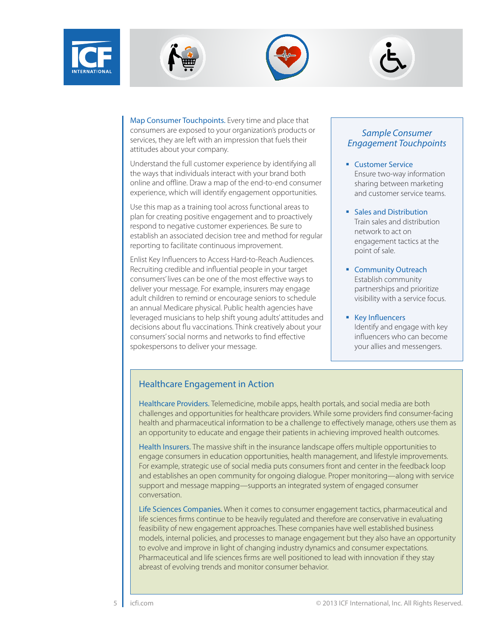







Map Consumer Touchpoints. Every time and place that consumers are exposed to your organization's products or services, they are left with an impression that fuels their attitudes about your company.

Understand the full customer experience by identifying all the ways that individuals interact with your brand both online and offline. Draw a map of the end-to-end consumer experience, which will identify engagement opportunities.

Use this map as a training tool across functional areas to plan for creating positive engagement and to proactively respond to negative customer experiences. Be sure to establish an associated decision tree and method for regular reporting to facilitate continuous improvement.

Enlist Key Influencers to Access Hard-to-Reach Audiences. Recruiting credible and influential people in your target consumers' lives can be one of the most effective ways to deliver your message. For example, insurers may engage adult children to remind or encourage seniors to schedule an annual Medicare physical. Public health agencies have leveraged musicians to help shift young adults' attitudes and decisions about flu vaccinations. Think creatively about your consumers' social norms and networks to find effective spokespersons to deliver your message.

#### *Sample Consumer Engagement Touchpoints*

- Customer Service Ensure two-way information sharing between marketing and customer service teams.
- Sales and Distribution Train sales and distribution network to act on engagement tactics at the point of sale.
- Community Outreach Establish community partnerships and prioritize visibility with a service focus.
- **Key Influencers** Identify and engage with key influencers who can become your allies and messengers.

### Healthcare Engagement in Action

Healthcare Providers. Telemedicine, mobile apps, health portals, and social media are both challenges and opportunities for healthcare providers. While some providers find consumer-facing health and pharmaceutical information to be a challenge to effectively manage, others use them as an opportunity to educate and engage their patients in achieving improved health outcomes.

Health Insurers. The massive shift in the insurance landscape offers multiple opportunities to engage consumers in education opportunities, health management, and lifestyle improvements. For example, strategic use of social media puts consumers front and center in the feedback loop and establishes an open community for ongoing dialogue. Proper monitoring—along with service support and message mapping—supports an integrated system of engaged consumer conversation.

Life Sciences Companies. When it comes to consumer engagement tactics, pharmaceutical and life sciences firms continue to be heavily regulated and therefore are conservative in evaluating feasibility of new engagement approaches. These companies have well established business models, internal policies, and processes to manage engagement but they also have an opportunity to evolve and improve in light of changing industry dynamics and consumer expectations. Pharmaceutical and life sciences firms are well positioned to lead with innovation if they stay abreast of evolving trends and monitor consumer behavior.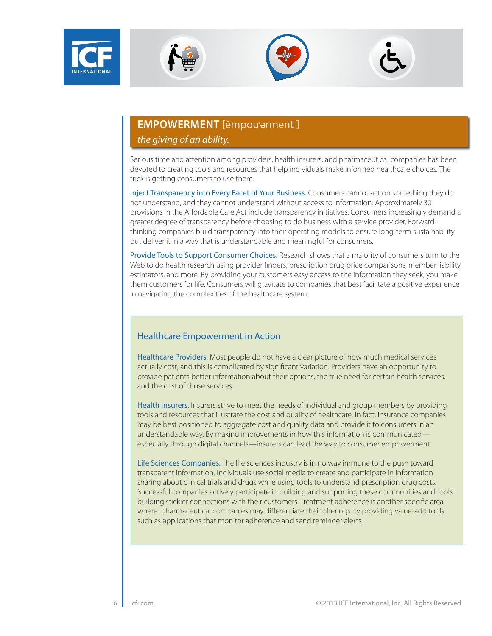







# **EMPOWERMENT** [ĕmpou'arment] *the giving of an ability.*

Serious time and attention among providers, health insurers, and pharmaceutical companies has been devoted to creating tools and resources that help individuals make informed healthcare choices. The trick is getting consumers to use them.

Inject Transparency into Every Facet of Your Business. Consumers cannot act on something they do not understand, and they cannot understand without access to information. Approximately 30 provisions in the Affordable Care Act include transparency initiatives. Consumers increasingly demand a greater degree of transparency before choosing to do business with a service provider. Forwardthinking companies build transparency into their operating models to ensure long-term sustainability but deliver it in a way that is understandable and meaningful for consumers.

Provide Tools to Support Consumer Choices. Research shows that a majority of consumers turn to the Web to do health research using provider finders, prescription drug price comparisons, member liability estimators, and more. By providing your customers easy access to the information they seek, you make them customers for life. Consumers will gravitate to companies that best facilitate a positive experience in navigating the complexities of the healthcare system.

### Healthcare Empowerment in Action

Healthcare Providers. Most people do not have a clear picture of how much medical services actually cost, and this is complicated by significant variation. Providers have an opportunity to provide patients better information about their options, the true need for certain health services, and the cost of those services.

Health Insurers. Insurers strive to meet the needs of individual and group members by providing tools and resources that illustrate the cost and quality of healthcare. In fact, insurance companies may be best positioned to aggregate cost and quality data and provide it to consumers in an understandable way. By making improvements in how this information is communicated especially through digital channels—insurers can lead the way to consumer empowerment.

Life Sciences Companies. The life sciences industry is in no way immune to the push toward transparent information. Individuals use social media to create and participate in information sharing about clinical trials and drugs while using tools to understand prescription drug costs. Successful companies actively participate in building and supporting these communities and tools, building stickier connections with their customers. Treatment adherence is another specific area where pharmaceutical companies may differentiate their offerings by providing value-add tools such as applications that monitor adherence and send reminder alerts.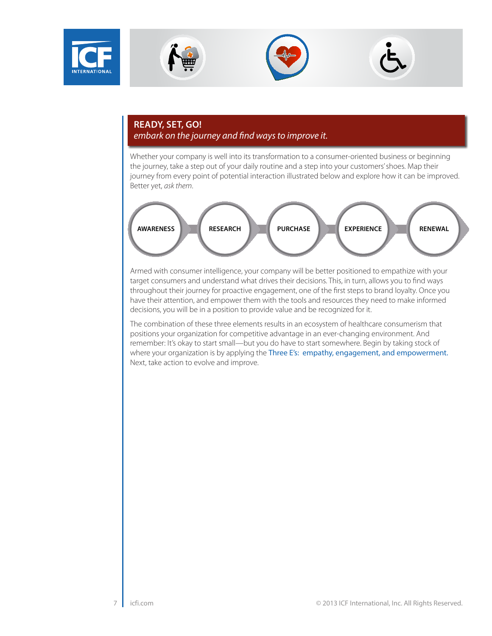







## **READY, SET, GO!**  *embark on the journey and find ways to improve it.*

Whether your company is well into its transformation to a consumer-oriented business or beginning the journey, take a step out of your daily routine and a step into your customers' shoes. Map their journey from every point of potential interaction illustrated below and explore how it can be improved. Better yet, *ask them*.



Armed with consumer intelligence, your company will be better positioned to empathize with your target consumers and understand what drives their decisions. This, in turn, allows you to find ways throughout their journey for proactive engagement, one of the first steps to brand loyalty. Once you have their attention, and empower them with the tools and resources they need to make informed decisions, you will be in a position to provide value and be recognized for it.

The combination of these three elements results in an ecosystem of healthcare consumerism that positions your organization for competitive advantage in an ever-changing environment. And remember: It's okay to start small—but you do have to start somewhere. Begin by taking stock of where your organization is by applying the Three E's: empathy, engagement, and empowerment. Next, take action to evolve and improve.